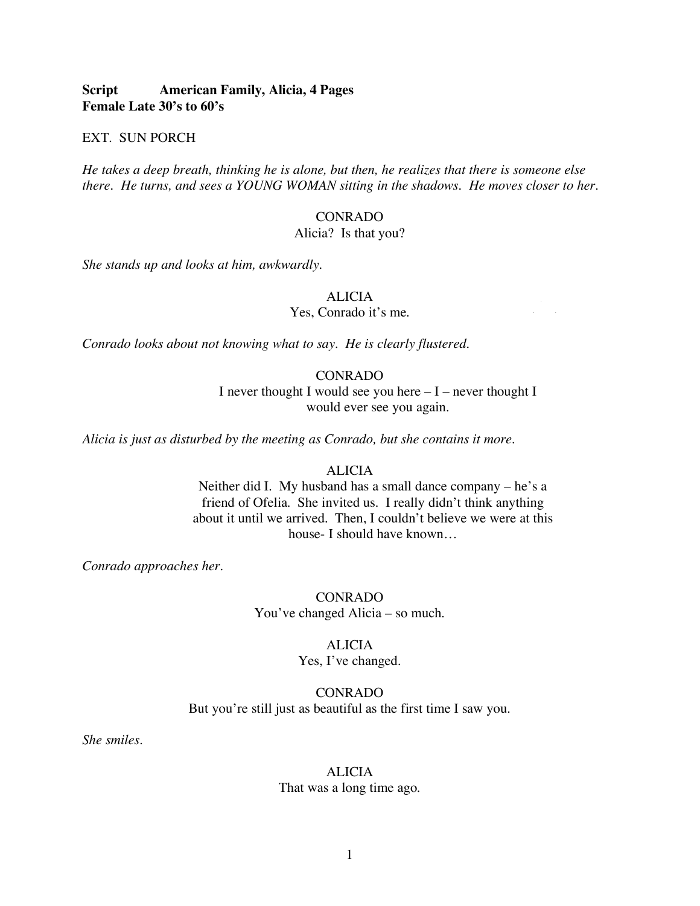## **Script # 156, American Family, Alicia, 4 Pages Female Late 30's to 60's**

EXT. SUN PORCH

*He takes a deep breath, thinking he is alone, but then, he realizes that there is someone else there. He turns, and sees a YOUNG WOMAN sitting in the shadows. He moves closer to her.*

## CONRADO

Alicia? Is that you?

*She stands up and looks at him, awkwardly.*

## ALICIA

Yes, Conrado it's me.

*Conrado looks about not knowing what to say. He is clearly flustered.*

## CONRADO

I never thought I would see you here – I – never thought I would ever see you again.

AGR LA

*Alicia is just as disturbed by the meeting as Conrado, but she contains it more.*

## ALICIA

Neither did I. My husband has a small dance company – he's a friend of Ofelia. She invited us. I really didn't think anything about it until we arrived. Then, I couldn't believe we were at this house- I should have known…

*Conrado approaches her.*

CONRADO You've changed Alicia – so much.

# ALICIA

Yes, I've changed.

#### CONRADO

But you're still just as beautiful as the first time I saw you.

*She smiles.*

# ALICIA

That was a long time ago.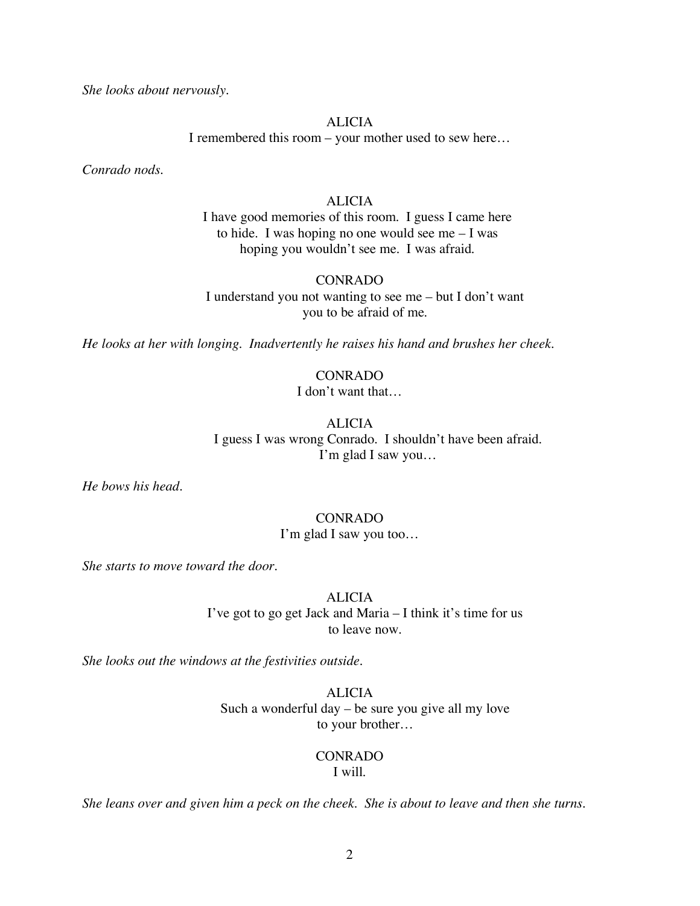*She looks about nervously.*

#### ALICIA

I remembered this room – your mother used to sew here…

*Conrado nods.*

## ALICIA

I have good memories of this room. I guess I came here to hide. I was hoping no one would see me – I was hoping you wouldn't see me. I was afraid.

#### CONRADO

I understand you not wanting to see me – but I don't want you to be afraid of me.

*He looks at her with longing. Inadvertently he raises his hand and brushes her cheek.*

## CONRADO

I don't want that…

#### ALICIA

I guess I was wrong Conrado. I shouldn't have been afraid. I'm glad I saw you…

*He bows his head.*

## CONRADO

I'm glad I saw you too…

*She starts to move toward the door.*

ALICIA

I've got to go get Jack and Maria – I think it's time for us to leave now.

*She looks out the windows at the festivities outside.*

ALICIA Such a wonderful day – be sure you give all my love to your brother…

# CONRADO

I will.

*She leans over and given him a peck on the cheek. She is about to leave and then she turns.*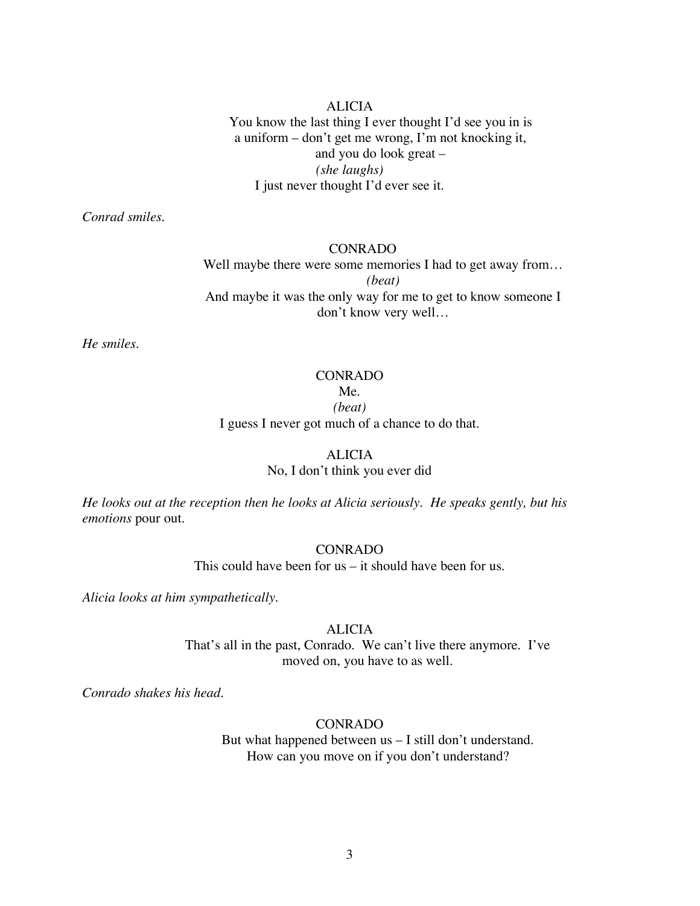#### ALICIA

You know the last thing I ever thought I'd see you in is a uniform – don't get me wrong, I'm not knocking it, and you do look great – *(she laughs)* I just never thought I'd ever see it.

*Conrad smiles.*

## CONRADO

Well maybe there were some memories I had to get away from... *(beat)* And maybe it was the only way for me to get to know someone I don't know very well…

*He smiles.*

#### CONRADO

# Me.

*(beat)*

I guess I never got much of a chance to do that.

#### ALICIA

No, I don't think you ever did

*He looks out at the reception then he looks at Alicia seriously. He speaks gently, but his emotions* pour out.

CONRADO

This could have been for us – it should have been for us.

*Alicia looks at him sympathetically.*

## ALICIA

That's all in the past, Conrado. We can't live there anymore. I've moved on, you have to as well.

*Conrado shakes his head.*

## CONRADO

But what happened between us – I still don't understand. How can you move on if you don't understand?